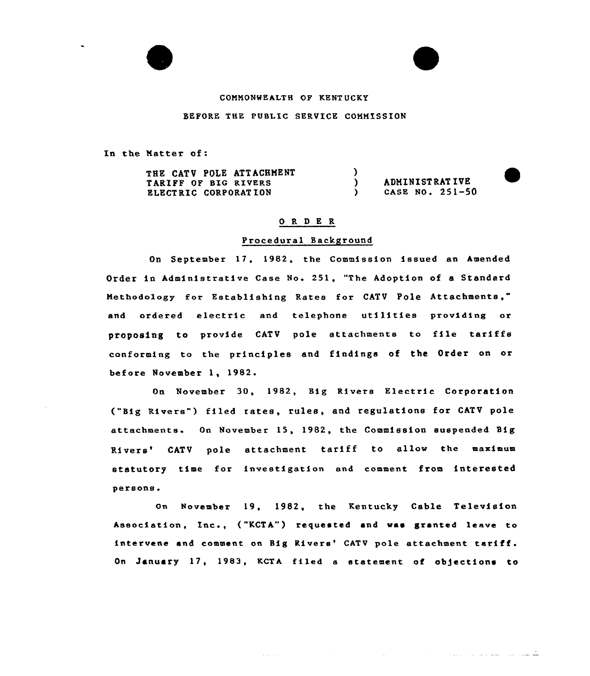

# COMMONWEALTH OP KENTUCKY

BEFORE THE PUBLIC SERVICE COMMISSION

In the Natter of:

| THE CATV POLE ATTACHMENT    |                 |
|-----------------------------|-----------------|
| TARIFF OF BIG RIVERS        | ADMINISTRATIVE  |
| <b>ELECTRIC CORPORATION</b> | CASE NO. 251-50 |

## 0 R <sup>D</sup> E R

## Procedural Background

On September 17, 1982, the Commission issued an Amended Order in Administrative Case No. 251, "The Adoption of a Standard Methodology for Establishing Rates for CATV Pole Attachments," and ordered electric and telephone utilities providing or proposing to provide CATV pole attachments to file tariffs conforming to the principles and findings of the Order on or before November 1, 1982.

On November 30, 1982, Big Rivers Electric Corporation ("Big Rivers") filed rates, rules, and regulations for CATV pole attachments. On November 15, 1982, the Commission suspended Big Rivers' CATV pole attachment tariff to allow the maximum statutory time for investigation and comment from interested persons.

On November 19, 1982, the Kentucky Cable Television Association, Inc., ("KCTA") requested and was granted leave to intervene and comment on Big Rivers' CATV pole attachment tariff. On January 17, 1983, KCTA filed a statement of objections to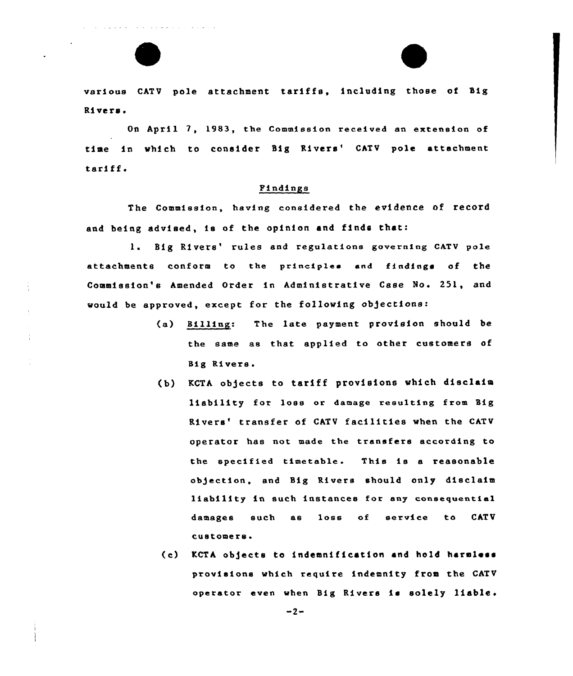various CATV pole attachment tariffs, including those of Big Rivers.

 $\omega$  ,  $\omega$  ,  $\omega$  ,  $\omega$  ,  $\omega$  ,  $\omega$ 

the contract of the second contract of the contract of the contract of the contract of the contract of the contract of the contract of the contract of the contract of the contract of the contract of the contract of the con

On April 7, 1983, the Commission received an extension of time in which to consider Big Rivers' CATV pole attachment tariff.

#### Findings

The Commission, having considered the evidence of record and being advised, is of the opinion and finds that:

1. Big Rivers' rules and regulations governing CATV pole attachments conform to the principles end findings of the Commission's Amended Order in Administrative Case No. 251, and would be approved, except for the following objections:

- (a) Billing: The late payment provision should be the same as that applied to othex customers of Big Rivers.
- (b) KCTA objects to tariff provisions which disclaim liability for loss or damage resulting from Sig Rivers' transfer of CATV facilities when the CATV operator has not made the transfers according to the specified timetable. This is <sup>a</sup> reasonable objection, and Sig Rivers should only disclaim liability in such instances foz any consequential damages such as loss of service to CATV customers.
- (c) KCTA objects to indemnification and hold harmless provisions which require indemnity from the CATV operator even when Big Rivers is solely liable.

 $-2-$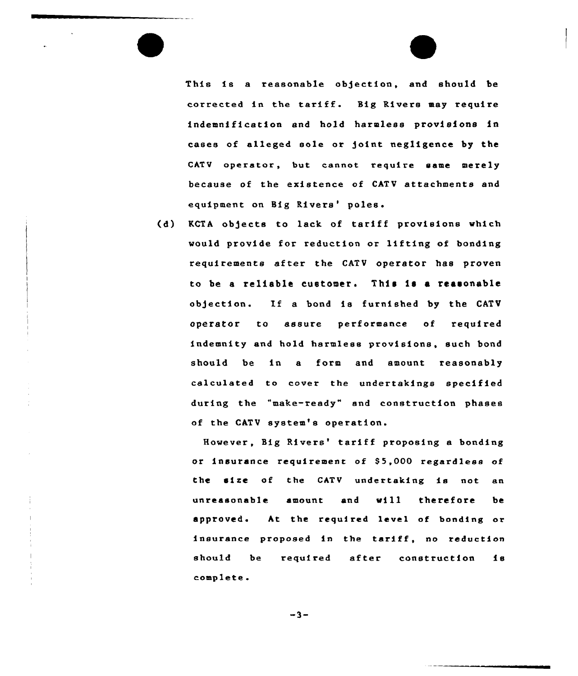This is a reasonable objection, and should be corrected in the tariff. Big Rivers may require indemnification and hold harmless provisions in cases of alleged sole or )oint negligence by the CATV operator, but cannot require same merely because of the existence of CATV attachments and equipment on Big Rivers' poles.

(d) KCTA objects to lack of tariff provisions which would provide for reduction or lifting of bonding requirements after the CATV operator has proven to be <sup>a</sup> reliable customer. This is a reasonable obgection. If <sup>a</sup> bond is furnished by the CATV operator to assure performance of require indemnity and hold harmless provisions, such bone should be in a form and amount reasonably calculated to cover the undertakings specified during the "make-ready" snd construction phases of the CATV system's operation.

However, Big Rivers' tariff proposing a bonding or insurance requirement of \$5,000 regardless of the size of the CATV undertaking is not an unreasonable amount and will therefore be approved. At the required level of bonding or insurance proposed in the tariff, no reduction should be required after construction is complete

 $-3-$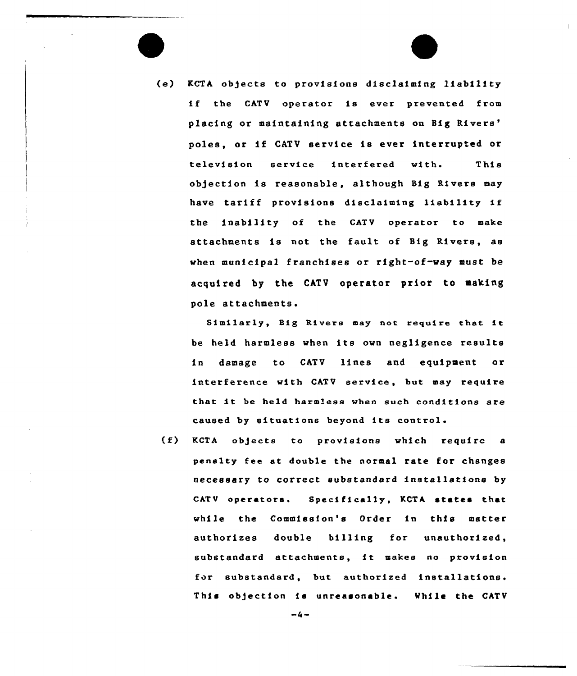(e) KCTA objects to provisions disclaiming liability if the CATV operator is ever prevented from placing or maintaining attachments on Big Rivers' poles, or if CATV service is ever interrupted or television service interfered with This ob)ection is reasonable, although Big Rivers may have tariff provisions disclaiming liability if the inability of the CATV operator to make attachments is not the fault of Big Rivers, as when municipal franchises or right-of-way must be acquired by the CATV operator prior to making pole attachments.

Similarly, Big Rivers may not require that it be held harmless when its own negligence results in damage to CATV lines and equipment or interference with CATV service, but may require that it be held harmless when such conditions are caused by situations beyond its control.

(f) KCTA objects to provisions which require <sup>a</sup> penalty fee at double the normal rate for changes necessary to correct substandard installations by CATV operators. Specifically, KCTA states that while the Commission's Order in this matter authorizes double billing for unauthorized, substandard attachments, it makes no provision for substandard, but authorized installations. This objection is unreasonable. While the CATV

 $-4-$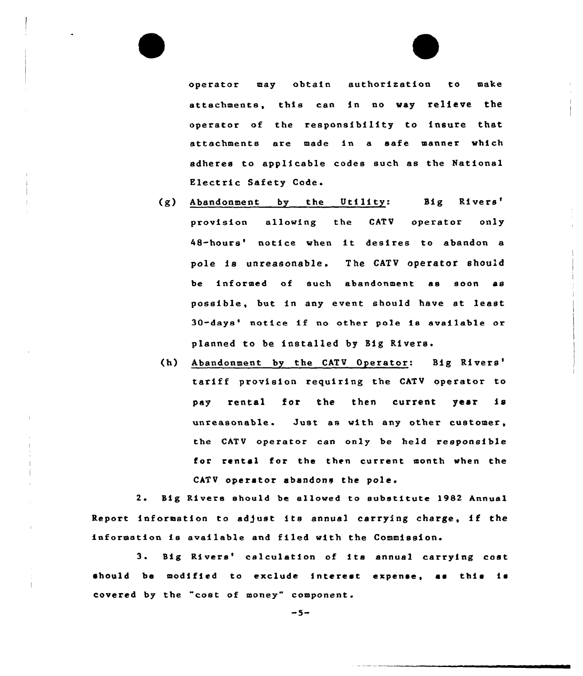operator may obtain authorization to make attachments, this can in no way relieve the operator of the responsibility to insure that attachments are made in a safe manner which adheres to applicable codes such as the National Electric Safety Code.

- (g) Abandonment by the Utility: Big Rivers' allowing the CATV operator only provision 48-hours' notice when it desires to abandon a pole is unreasonable. The CATV operator should be informed of such abandonment as soon as possible, but in any event should have st least 30-days' notice if no other pole is available or planned to be installed by Big Rivers.
- (h) Abandonment by the CATV Operator: Big tariff provision requiring the CATV operator to pay rental for the then current year is unreasonable. Just ss with any other customer, the CATV operator can only be held responsible for rental for the then current month when the CATV operator abandons the pole.

2. Big Rivers should be allowed to substitute 1982 Annual Report information to adjust its annual carrying charge, if the information is available and filed with the Commission.

3. Big Rivers' calculation of its annual carrying cost should be modified to exclude interest expense, as this is covered by the "cost of money" component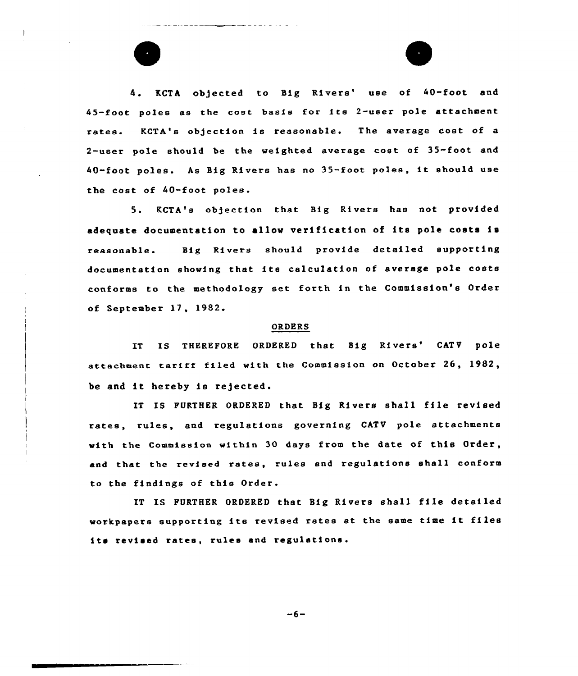4. KCTA objected to Big Rivers' use of 40-foot and 45-foot poles as the cost basis for ite 2-user pole attachment rates. KCTA'e objection is reasonable. The average cost of <sup>a</sup> 2-user pole should be the weighted average cost of 35-foot and 40-foot poles. As Big Rivers has no 35-foot poles, it should use the cost of 40-foot poles.

5. KCTA's objection that Big Rivers has not provided adequate documentation to allow verification of its pole costs is reasonable. Big Rivers should provide detailed supporting documentation showing that ite calculation of average pole costs conforms to the methodology eet forth in the Commission'e Order of September 17, 1982.<br>
ORDERS

IT IS THEREFORE ORDERED that Big Rivers' CATV pole attachment tariff filed with the Commission on October 26, 1982, be and it hereby is rejected.

IT IS FURTHER ORDERED that Big Rivers shall file revised rates, rules, and regulations governing CATV pole attachments with the Commission within 30 days from the date of this Order, and that the revised rates, rules and regulations shall conform to the findings of this Order.

IT IS FURTHER ORDERED that Big Rivers shall file detailed workpapere supporting ite revised rates at the same time it files its revised rates, rules and regulations.

 $-6-$